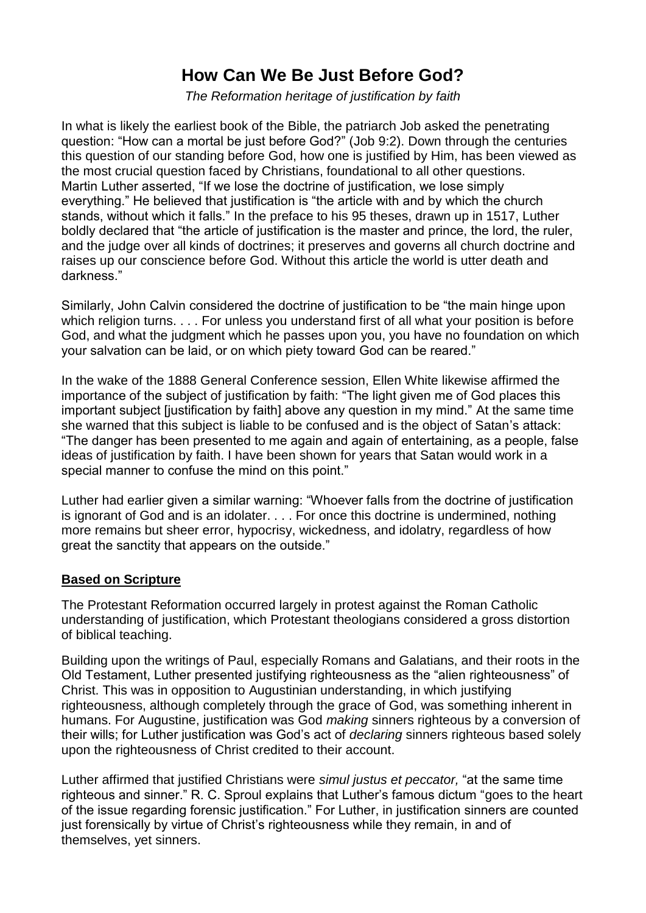## **How Can We Be Just Before God?**

*The Reformation heritage of justification by faith*

In what is likely the earliest book of the Bible, the patriarch Job asked the penetrating question: "How can a mortal be just before God?" [\(Job](https://biblia.com/bible/nrsv/Job%209.2) 9:2). Down through the centuries this question of our standing before God, how one is justified by Him, has been viewed as the most crucial question faced by Christians, foundational to all other questions. Martin Luther asserted, "If we lose the doctrine of justification, we lose simply everything." He believed that justification is "the article with and by which the church stands, without which it falls." In the preface to his 95 theses, drawn up in 1517, Luther boldly declared that "the article of justification is the master and prince, the lord, the ruler, and the judge over all kinds of doctrines; it preserves and governs all church doctrine and raises up our conscience before God. Without this article the world is utter death and darkness."

Similarly, John Calvin considered the doctrine of justification to be "the main hinge upon which religion turns. . . . For unless you understand first of all what your position is before God, and what the judgment which he passes upon you, you have no foundation on which your salvation can be laid, or on which piety toward God can be reared."

In the wake of the 1888 General Conference session, Ellen White likewise affirmed the importance of the subject of justification by faith: "The light given me of God places this important subject [justification by faith] above any question in my mind." At the same time she warned that this subject is liable to be confused and is the object of Satan's attack: "The danger has been presented to me again and again of entertaining, as a people, false ideas of justification by faith. I have been shown for years that Satan would work in a special manner to confuse the mind on this point."

Luther had earlier given a similar warning: "Whoever falls from the doctrine of justification is ignorant of God and is an idolater. . . . For once this doctrine is undermined, nothing more remains but sheer error, hypocrisy, wickedness, and idolatry, regardless of how great the sanctity that appears on the outside."

## **Based on Scripture**

The Protestant Reformation occurred largely in protest against the Roman Catholic understanding of justification, which Protestant theologians considered a gross distortion of biblical teaching.

Building upon the writings of Paul, especially Romans and Galatians, and their roots in the Old Testament, Luther presented justifying righteousness as the "alien righteousness" of Christ. This was in opposition to Augustinian understanding, in which justifying righteousness, although completely through the grace of God, was something inherent in humans. For Augustine, justification was God *making* sinners righteous by a conversion of their wills; for Luther justification was God's act of *declaring* sinners righteous based solely upon the righteousness of Christ credited to their account.

Luther affirmed that justified Christians were *simul justus et peccator,* "at the same time righteous and sinner." R. C. Sproul explains that Luther's famous dictum "goes to the heart of the issue regarding forensic justification." For Luther, in justification sinners are counted just forensically by virtue of Christ's righteousness while they remain, in and of themselves, yet sinners.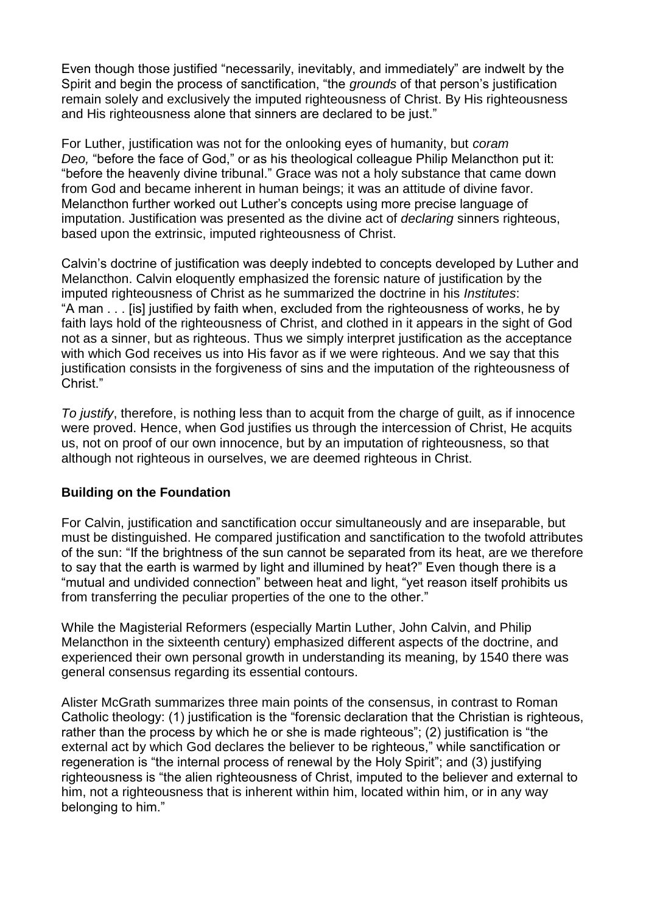Even though those justified "necessarily, inevitably, and immediately" are indwelt by the Spirit and begin the process of sanctification, "the *grounds* of that person's justification remain solely and exclusively the imputed righteousness of Christ. By His righteousness and His righteousness alone that sinners are declared to be just."

For Luther, justification was not for the onlooking eyes of humanity, but *coram Deo,* "before the face of God," or as his theological colleague Philip Melancthon put it: "before the heavenly divine tribunal." Grace was not a holy substance that came down from God and became inherent in human beings; it was an attitude of divine favor. Melancthon further worked out Luther's concepts using more precise language of imputation. Justification was presented as the divine act of *declaring* sinners righteous, based upon the extrinsic, imputed righteousness of Christ.

Calvin's doctrine of justification was deeply indebted to concepts developed by Luther and Melancthon. Calvin eloquently emphasized the forensic nature of justification by the imputed righteousness of Christ as he summarized the doctrine in his *Institutes*: "A man . . . [is] justified by faith when, excluded from the righteousness of works, he by faith lays hold of the righteousness of Christ, and clothed in it appears in the sight of God not as a sinner, but as righteous. Thus we simply interpret justification as the acceptance with which God receives us into His favor as if we were righteous. And we say that this justification consists in the forgiveness of sins and the imputation of the righteousness of Christ."

*To justify*, therefore, is nothing less than to acquit from the charge of guilt, as if innocence were proved. Hence, when God justifies us through the intercession of Christ, He acquits us, not on proof of our own innocence, but by an imputation of righteousness, so that although not righteous in ourselves, we are deemed righteous in Christ.

## **Building on the Foundation**

For Calvin, justification and sanctification occur simultaneously and are inseparable, but must be distinguished. He compared justification and sanctification to the twofold attributes of the sun: "If the brightness of the sun cannot be separated from its heat, are we therefore to say that the earth is warmed by light and illumined by heat?" Even though there is a "mutual and undivided connection" between heat and light, "yet reason itself prohibits us from transferring the peculiar properties of the one to the other."

While the Magisterial Reformers (especially Martin Luther, John Calvin, and Philip Melancthon in the sixteenth century) emphasized different aspects of the doctrine, and experienced their own personal growth in understanding its meaning, by 1540 there was general consensus regarding its essential contours.

Alister McGrath summarizes three main points of the consensus, in contrast to Roman Catholic theology: (1) justification is the "forensic declaration that the Christian is righteous, rather than the process by which he or she is made righteous"; (2) justification is "the external act by which God declares the believer to be righteous," while sanctification or regeneration is "the internal process of renewal by the Holy Spirit"; and (3) justifying righteousness is "the alien righteousness of Christ, imputed to the believer and external to him, not a righteousness that is inherent within him, located within him, or in any way belonging to him."